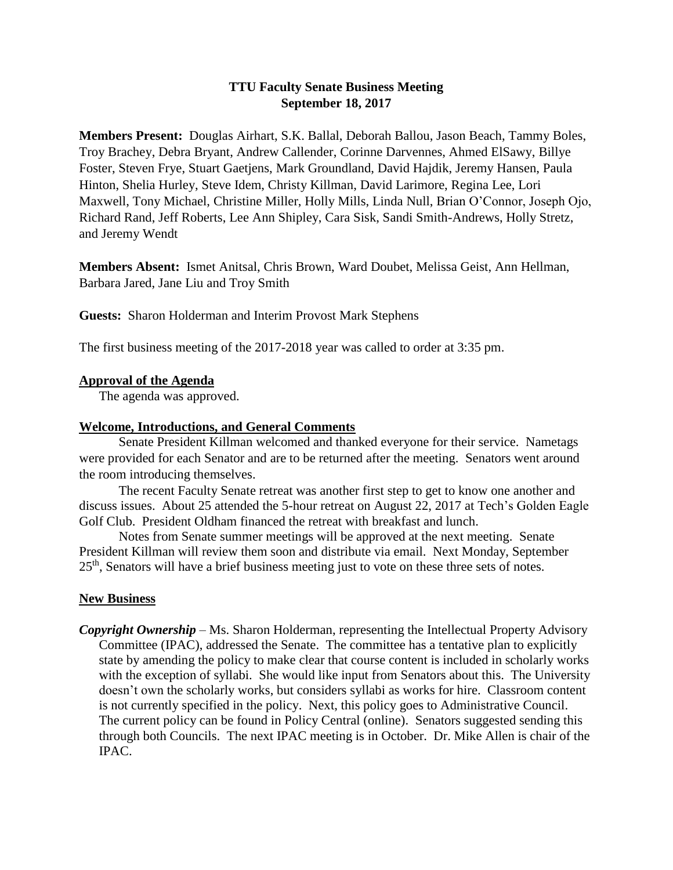### **TTU Faculty Senate Business Meeting September 18, 2017**

**Members Present:** Douglas Airhart, S.K. Ballal, Deborah Ballou, Jason Beach, Tammy Boles, Troy Brachey, Debra Bryant, Andrew Callender, Corinne Darvennes, Ahmed ElSawy, Billye Foster, Steven Frye, Stuart Gaetjens, Mark Groundland, David Hajdik, Jeremy Hansen, Paula Hinton, Shelia Hurley, Steve Idem, Christy Killman, David Larimore, Regina Lee, Lori Maxwell, Tony Michael, Christine Miller, Holly Mills, Linda Null, Brian O'Connor, Joseph Ojo, Richard Rand, Jeff Roberts, Lee Ann Shipley, Cara Sisk, Sandi Smith-Andrews, Holly Stretz, and Jeremy Wendt

**Members Absent:** Ismet Anitsal, Chris Brown, Ward Doubet, Melissa Geist, Ann Hellman, Barbara Jared, Jane Liu and Troy Smith

**Guests:** Sharon Holderman and Interim Provost Mark Stephens

The first business meeting of the 2017-2018 year was called to order at 3:35 pm.

### **Approval of the Agenda**

The agenda was approved.

#### **Welcome, Introductions, and General Comments**

Senate President Killman welcomed and thanked everyone for their service. Nametags were provided for each Senator and are to be returned after the meeting. Senators went around the room introducing themselves.

The recent Faculty Senate retreat was another first step to get to know one another and discuss issues. About 25 attended the 5-hour retreat on August 22, 2017 at Tech's Golden Eagle Golf Club. President Oldham financed the retreat with breakfast and lunch.

Notes from Senate summer meetings will be approved at the next meeting. Senate President Killman will review them soon and distribute via email. Next Monday, September 25<sup>th</sup>, Senators will have a brief business meeting just to vote on these three sets of notes.

#### **New Business**

*Copyright Ownership* – Ms. Sharon Holderman, representing the Intellectual Property Advisory Committee (IPAC), addressed the Senate. The committee has a tentative plan to explicitly state by amending the policy to make clear that course content is included in scholarly works with the exception of syllabi. She would like input from Senators about this. The University doesn't own the scholarly works, but considers syllabi as works for hire. Classroom content is not currently specified in the policy. Next, this policy goes to Administrative Council. The current policy can be found in Policy Central (online). Senators suggested sending this through both Councils. The next IPAC meeting is in October. Dr. Mike Allen is chair of the IPAC.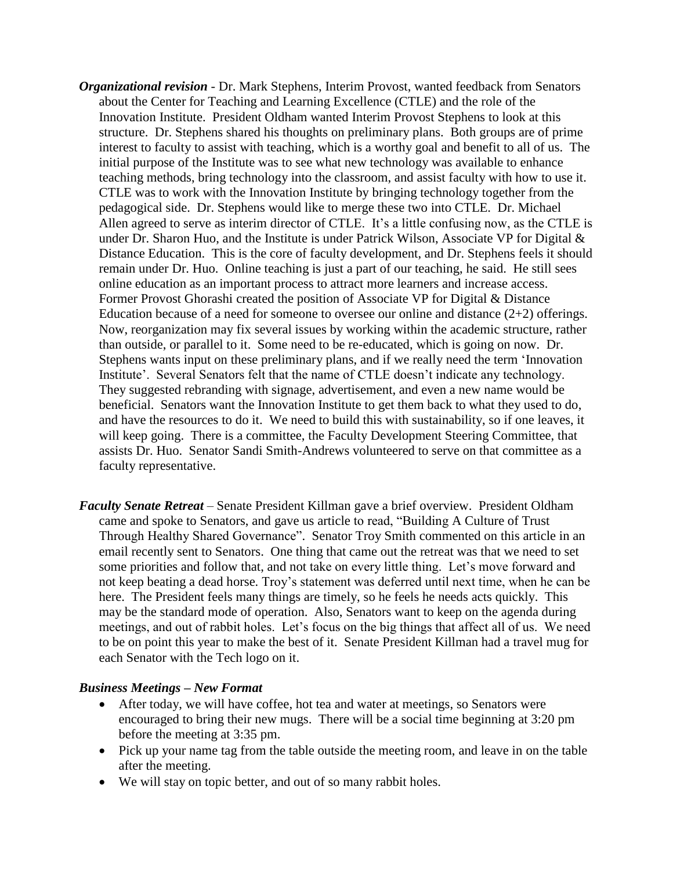- *Organizational revision* Dr. Mark Stephens, Interim Provost, wanted feedback from Senators about the Center for Teaching and Learning Excellence (CTLE) and the role of the Innovation Institute. President Oldham wanted Interim Provost Stephens to look at this structure. Dr. Stephens shared his thoughts on preliminary plans. Both groups are of prime interest to faculty to assist with teaching, which is a worthy goal and benefit to all of us. The initial purpose of the Institute was to see what new technology was available to enhance teaching methods, bring technology into the classroom, and assist faculty with how to use it. CTLE was to work with the Innovation Institute by bringing technology together from the pedagogical side. Dr. Stephens would like to merge these two into CTLE. Dr. Michael Allen agreed to serve as interim director of CTLE. It's a little confusing now, as the CTLE is under Dr. Sharon Huo, and the Institute is under Patrick Wilson, Associate VP for Digital & Distance Education. This is the core of faculty development, and Dr. Stephens feels it should remain under Dr. Huo. Online teaching is just a part of our teaching, he said. He still sees online education as an important process to attract more learners and increase access. Former Provost Ghorashi created the position of Associate VP for Digital & Distance Education because of a need for someone to oversee our online and distance  $(2+2)$  offerings. Now, reorganization may fix several issues by working within the academic structure, rather than outside, or parallel to it. Some need to be re-educated, which is going on now. Dr. Stephens wants input on these preliminary plans, and if we really need the term 'Innovation Institute'. Several Senators felt that the name of CTLE doesn't indicate any technology. They suggested rebranding with signage, advertisement, and even a new name would be beneficial. Senators want the Innovation Institute to get them back to what they used to do, and have the resources to do it. We need to build this with sustainability, so if one leaves, it will keep going. There is a committee, the Faculty Development Steering Committee, that assists Dr. Huo. Senator Sandi Smith-Andrews volunteered to serve on that committee as a faculty representative.
- *Faculty Senate Retreat* Senate President Killman gave a brief overview. President Oldham came and spoke to Senators, and gave us article to read, "Building A Culture of Trust Through Healthy Shared Governance". Senator Troy Smith commented on this article in an email recently sent to Senators. One thing that came out the retreat was that we need to set some priorities and follow that, and not take on every little thing. Let's move forward and not keep beating a dead horse. Troy's statement was deferred until next time, when he can be here. The President feels many things are timely, so he feels he needs acts quickly. This may be the standard mode of operation. Also, Senators want to keep on the agenda during meetings, and out of rabbit holes. Let's focus on the big things that affect all of us. We need to be on point this year to make the best of it. Senate President Killman had a travel mug for each Senator with the Tech logo on it.

# *Business Meetings – New Format*

- After today, we will have coffee, hot tea and water at meetings, so Senators were encouraged to bring their new mugs. There will be a social time beginning at 3:20 pm before the meeting at 3:35 pm.
- Pick up your name tag from the table outside the meeting room, and leave in on the table after the meeting.
- We will stay on topic better, and out of so many rabbit holes.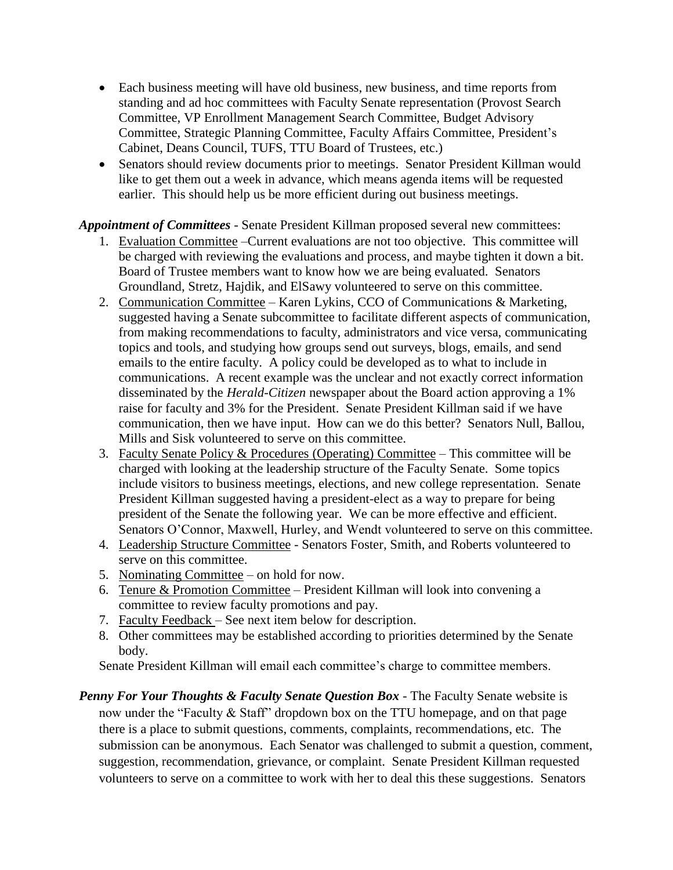- Each business meeting will have old business, new business, and time reports from standing and ad hoc committees with Faculty Senate representation (Provost Search Committee, VP Enrollment Management Search Committee, Budget Advisory Committee, Strategic Planning Committee, Faculty Affairs Committee, President's Cabinet, Deans Council, TUFS, TTU Board of Trustees, etc.)
- Senators should review documents prior to meetings. Senator President Killman would like to get them out a week in advance, which means agenda items will be requested earlier. This should help us be more efficient during out business meetings.

# *Appointment of Committees* - Senate President Killman proposed several new committees:

- 1. Evaluation Committee –Current evaluations are not too objective. This committee will be charged with reviewing the evaluations and process, and maybe tighten it down a bit. Board of Trustee members want to know how we are being evaluated. Senators Groundland, Stretz, Hajdik, and ElSawy volunteered to serve on this committee.
- 2. Communication Committee Karen Lykins, CCO of Communications & Marketing, suggested having a Senate subcommittee to facilitate different aspects of communication, from making recommendations to faculty, administrators and vice versa, communicating topics and tools, and studying how groups send out surveys, blogs, emails, and send emails to the entire faculty. A policy could be developed as to what to include in communications. A recent example was the unclear and not exactly correct information disseminated by the *Herald-Citizen* newspaper about the Board action approving a 1% raise for faculty and 3% for the President. Senate President Killman said if we have communication, then we have input. How can we do this better? Senators Null, Ballou, Mills and Sisk volunteered to serve on this committee.
- 3. Faculty Senate Policy & Procedures (Operating) Committee This committee will be charged with looking at the leadership structure of the Faculty Senate. Some topics include visitors to business meetings, elections, and new college representation. Senate President Killman suggested having a president-elect as a way to prepare for being president of the Senate the following year. We can be more effective and efficient. Senators O'Connor, Maxwell, Hurley, and Wendt volunteered to serve on this committee.
- 4. Leadership Structure Committee Senators Foster, Smith, and Roberts volunteered to serve on this committee.
- 5. Nominating Committee on hold for now.
- 6. Tenure & Promotion Committee President Killman will look into convening a committee to review faculty promotions and pay.
- 7. Faculty Feedback See next item below for description.
- 8. Other committees may be established according to priorities determined by the Senate body.

Senate President Killman will email each committee's charge to committee members.

*Penny For Your Thoughts & Faculty Senate Question Box* - The Faculty Senate website is now under the "Faculty & Staff" dropdown box on the TTU homepage, and on that page there is a place to submit questions, comments, complaints, recommendations, etc. The submission can be anonymous. Each Senator was challenged to submit a question, comment, suggestion, recommendation, grievance, or complaint. Senate President Killman requested volunteers to serve on a committee to work with her to deal this these suggestions. Senators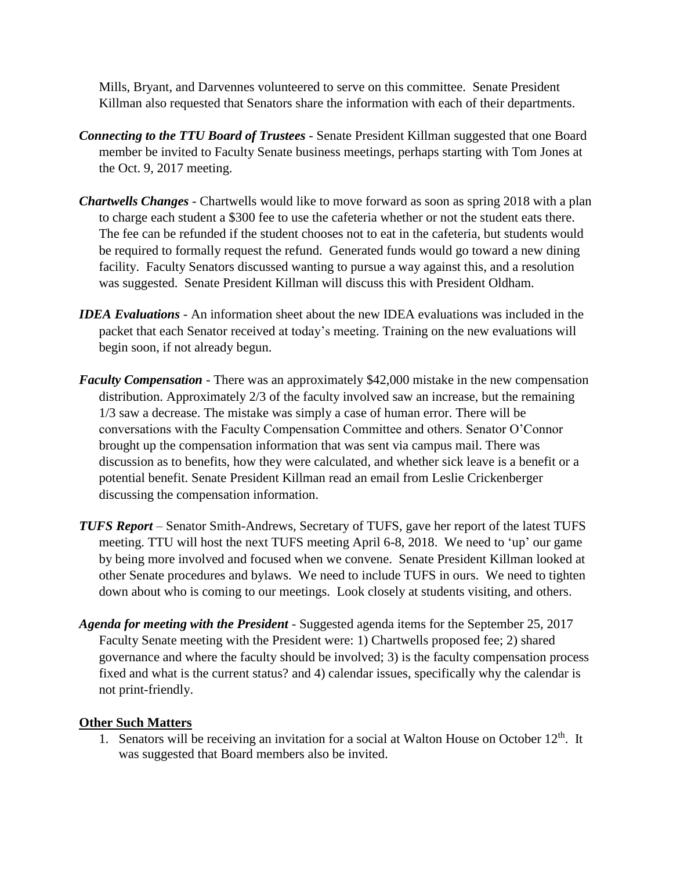Mills, Bryant, and Darvennes volunteered to serve on this committee. Senate President Killman also requested that Senators share the information with each of their departments.

- *Connecting to the TTU Board of Trustees* Senate President Killman suggested that one Board member be invited to Faculty Senate business meetings, perhaps starting with Tom Jones at the Oct. 9, 2017 meeting.
- *Chartwells Changes* Chartwells would like to move forward as soon as spring 2018 with a plan to charge each student a \$300 fee to use the cafeteria whether or not the student eats there. The fee can be refunded if the student chooses not to eat in the cafeteria, but students would be required to formally request the refund. Generated funds would go toward a new dining facility. Faculty Senators discussed wanting to pursue a way against this, and a resolution was suggested. Senate President Killman will discuss this with President Oldham.
- *IDEA Evaluations* An information sheet about the new IDEA evaluations was included in the packet that each Senator received at today's meeting. Training on the new evaluations will begin soon, if not already begun.
- *Faculty Compensation* There was an approximately \$42,000 mistake in the new compensation distribution. Approximately 2/3 of the faculty involved saw an increase, but the remaining 1/3 saw a decrease. The mistake was simply a case of human error. There will be conversations with the Faculty Compensation Committee and others. Senator O'Connor brought up the compensation information that was sent via campus mail. There was discussion as to benefits, how they were calculated, and whether sick leave is a benefit or a potential benefit. Senate President Killman read an email from Leslie Crickenberger discussing the compensation information.
- *TUFS Report* Senator Smith-Andrews, Secretary of TUFS, gave her report of the latest TUFS meeting. TTU will host the next TUFS meeting April 6-8, 2018. We need to 'up' our game by being more involved and focused when we convene. Senate President Killman looked at other Senate procedures and bylaws. We need to include TUFS in ours. We need to tighten down about who is coming to our meetings. Look closely at students visiting, and others.
- *Agenda for meeting with the President* Suggested agenda items for the September 25, 2017 Faculty Senate meeting with the President were: 1) Chartwells proposed fee; 2) shared governance and where the faculty should be involved; 3) is the faculty compensation process fixed and what is the current status? and 4) calendar issues, specifically why the calendar is not print-friendly.

# **Other Such Matters**

1. Senators will be receiving an invitation for a social at Walton House on October  $12<sup>th</sup>$ . It was suggested that Board members also be invited.